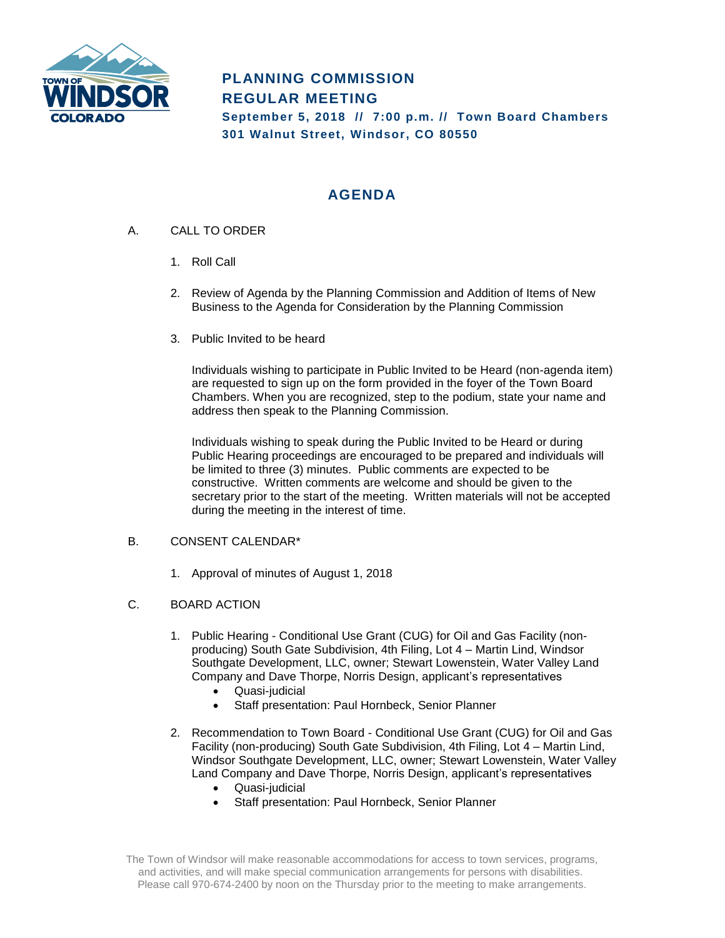

# **PLANNING COMMISSION REGULAR MEETING**

**September 5, 2018 // 7:00 p.m. // Town Board Chambers 301 Walnut Street, Windsor, CO 80550**

# **AGENDA**

- A. CALL TO ORDER
	- 1. Roll Call
	- 2. Review of Agenda by the Planning Commission and Addition of Items of New Business to the Agenda for Consideration by the Planning Commission
	- 3. Public Invited to be heard

Individuals wishing to participate in Public Invited to be Heard (non-agenda item) are requested to sign up on the form provided in the foyer of the Town Board Chambers. When you are recognized, step to the podium, state your name and address then speak to the Planning Commission.

Individuals wishing to speak during the Public Invited to be Heard or during Public Hearing proceedings are encouraged to be prepared and individuals will be limited to three (3) minutes. Public comments are expected to be constructive. Written comments are welcome and should be given to the secretary prior to the start of the meeting. Written materials will not be accepted during the meeting in the interest of time.

## B. CONSENT CALENDAR\*

1. Approval of minutes of August 1, 2018

#### C. BOARD ACTION

- 1. Public Hearing Conditional Use Grant (CUG) for Oil and Gas Facility (nonproducing) South Gate Subdivision, 4th Filing, Lot 4 – Martin Lind, Windsor Southgate Development, LLC, owner; Stewart Lowenstein, Water Valley Land Company and Dave Thorpe, Norris Design, applicant's representatives
	- Quasi-judicial
	- Staff presentation: Paul Hornbeck, Senior Planner
- 2. Recommendation to Town Board Conditional Use Grant (CUG) for Oil and Gas Facility (non-producing) South Gate Subdivision, 4th Filing, Lot 4 – Martin Lind, Windsor Southgate Development, LLC, owner; Stewart Lowenstein, Water Valley Land Company and Dave Thorpe, Norris Design, applicant's representatives
	- Quasi-judicial
	- Staff presentation: Paul Hornbeck, Senior Planner

The Town of Windsor will make reasonable accommodations for access to town services, programs, and activities, and will make special communication arrangements for persons with disabilities. Please call 970-674-2400 by noon on the Thursday prior to the meeting to make arrangements.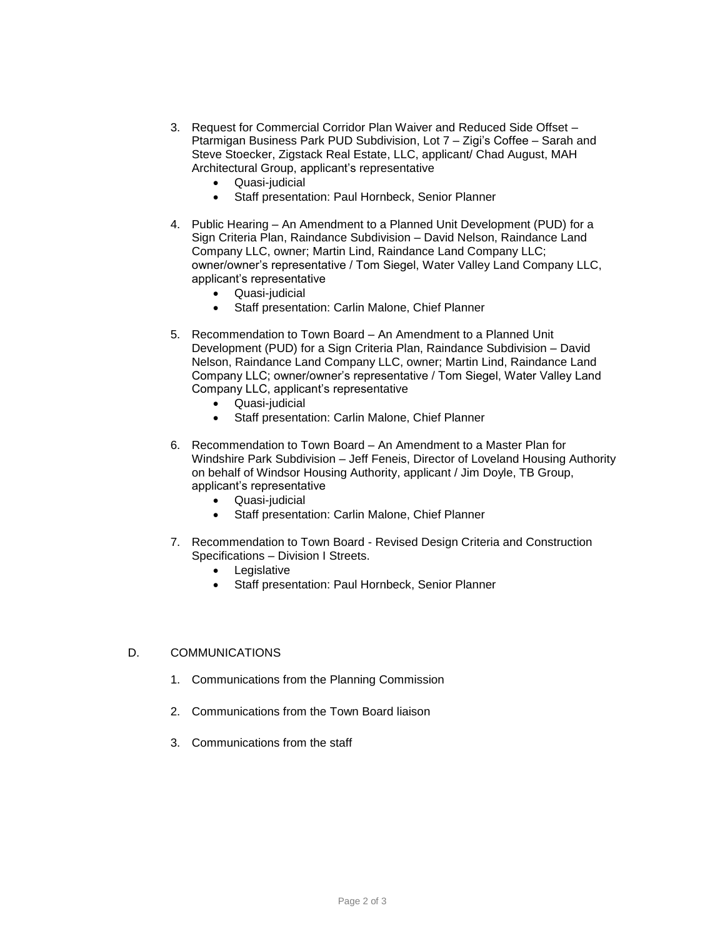- 3. Request for Commercial Corridor Plan Waiver and Reduced Side Offset Ptarmigan Business Park PUD Subdivision, Lot 7 – Zigi's Coffee – Sarah and Steve Stoecker, Zigstack Real Estate, LLC, applicant/ Chad August, MAH Architectural Group, applicant's representative
	- Quasi-judicial
	- Staff presentation: Paul Hornbeck, Senior Planner
- 4. Public Hearing An Amendment to a Planned Unit Development (PUD) for a Sign Criteria Plan, Raindance Subdivision – David Nelson, Raindance Land Company LLC, owner; Martin Lind, Raindance Land Company LLC; owner/owner's representative / Tom Siegel, Water Valley Land Company LLC, applicant's representative
	- Quasi-judicial
	- Staff presentation: Carlin Malone, Chief Planner
- 5. Recommendation to Town Board An Amendment to a Planned Unit Development (PUD) for a Sign Criteria Plan, Raindance Subdivision – David Nelson, Raindance Land Company LLC, owner; Martin Lind, Raindance Land Company LLC; owner/owner's representative / Tom Siegel, Water Valley Land Company LLC, applicant's representative
	- Quasi-judicial
	- Staff presentation: Carlin Malone, Chief Planner
- 6. Recommendation to Town Board An Amendment to a Master Plan for Windshire Park Subdivision – Jeff Feneis, Director of Loveland Housing Authority on behalf of Windsor Housing Authority, applicant / Jim Doyle, TB Group, applicant's representative
	- Quasi-judicial
	- Staff presentation: Carlin Malone, Chief Planner
- 7. Recommendation to Town Board Revised Design Criteria and Construction Specifications – Division I Streets.
	- Legislative
	- Staff presentation: Paul Hornbeck, Senior Planner

### D. COMMUNICATIONS

- 1. Communications from the Planning Commission
- 2. Communications from the Town Board liaison
- 3. Communications from the staff